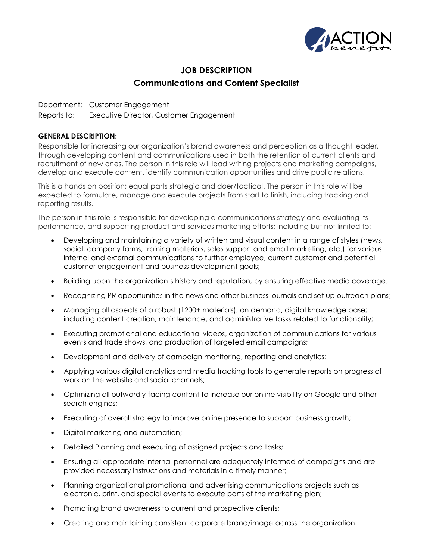

## **JOB DESCRIPTION Communications and Content Specialist**

Department: Customer Engagement Reports to: Executive Director, Customer Engagement

## **GENERAL DESCRIPTION:**

Responsible for increasing our organization's brand awareness and perception as a thought leader, through developing content and communications used in both the retention of current clients and recruitment of new ones. The person in this role will lead writing projects and marketing campaigns, develop and execute content, identify communication opportunities and drive public relations.

This is a hands on position; equal parts strategic and doer/tactical. The person in this role will be expected to formulate, manage and execute projects from start to finish, including tracking and reporting results.

The person in this role is responsible for developing a communications strategy and evaluating its performance, and supporting product and services marketing efforts; including but not limited to:

- Developing and maintaining a variety of written and visual content in a range of styles (news, social, company forms, training materials, sales support and email marketing, etc.) for various internal and external communications to further employee, current customer and potential customer engagement and business development goals;
- Building upon the organization's history and reputation, by ensuring effective media coverage;
- Recognizing PR opportunities in the news and other business journals and set up outreach plans;
- Managing all aspects of a robust (1200+ materials), on demand, digital knowledge base; including content creation, maintenance, and administrative tasks related to functionality;
- Executing promotional and educational videos, organization of communications for various events and trade shows, and production of targeted email campaigns;
- Development and delivery of campaign monitoring, reporting and analytics;
- Applying various digital analytics and media tracking tools to generate reports on progress of work on the website and social channels;
- Optimizing all outwardly-facing content to increase our online visibility on Google and other search engines;
- Executing of overall strategy to improve online presence to support business growth;
- Digital marketing and automation;
- Detailed Planning and executing of assigned projects and tasks;
- Ensuring all appropriate internal personnel are adequately informed of campaigns and are provided necessary instructions and materials in a timely manner;
- Planning organizational promotional and advertising communications projects such as electronic, print, and special events to execute parts of the marketing plan;
- Promoting brand awareness to current and prospective clients;
- Creating and maintaining consistent corporate brand/image across the organization.